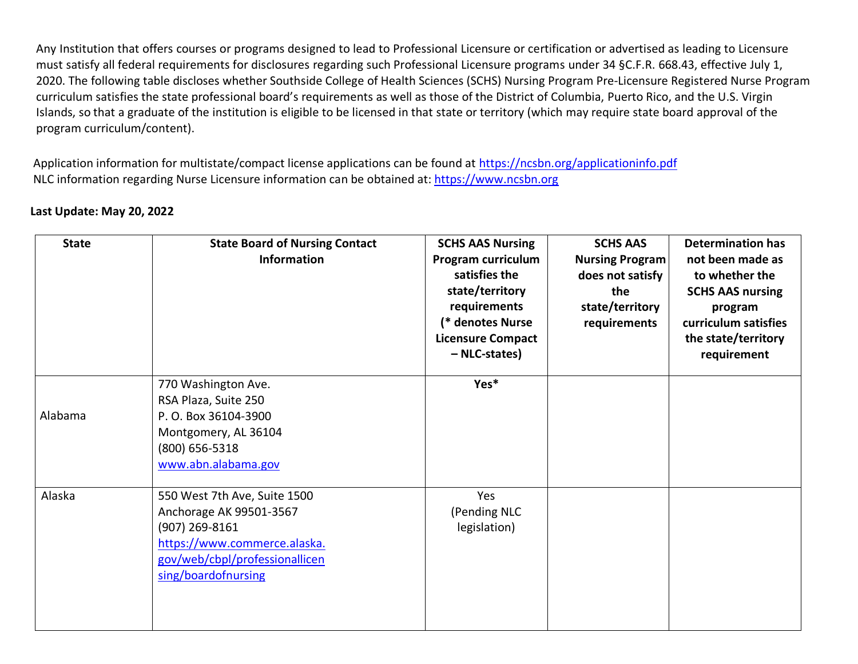Any Institution that offers courses or programs designed to lead to Professional Licensure or certification or advertised as leading to Licensure must satisfy all federal requirements for disclosures regarding such Professional Licensure programs under 34 §C.F.R. 668.43, effective July 1, 2020. The following table discloses whether Southside College of Health Sciences (SCHS) Nursing Program Pre-Licensure Registered Nurse Program curriculum satisfies the state professional board's requirements as well as those of the District of Columbia, Puerto Rico, and the U.S. Virgin Islands, so that a graduate of the institution is eligible to be licensed in that state or territory (which may require state board approval of the program curriculum/content).

Application information for multistate/compact license applications can be found at<https://ncsbn.org/applicationinfo.pdf> NLC information regarding Nurse Licensure information can be obtained at: [https://www.ncsbn.org](https://www.ncsbn.org/)

| Last Update: May 20, 2022 |  |  |  |
|---------------------------|--|--|--|
|---------------------------|--|--|--|

| <b>State</b> | <b>State Board of Nursing Contact</b><br><b>Information</b>                                                                                                          | <b>SCHS AAS Nursing</b><br>Program curriculum<br>satisfies the<br>state/territory<br>requirements<br>(* denotes Nurse<br><b>Licensure Compact</b><br>- NLC-states) | <b>SCHS AAS</b><br><b>Nursing Program</b><br>does not satisfy<br>the<br>state/territory<br>requirements | <b>Determination has</b><br>not been made as<br>to whether the<br><b>SCHS AAS nursing</b><br>program<br>curriculum satisfies<br>the state/territory<br>requirement |
|--------------|----------------------------------------------------------------------------------------------------------------------------------------------------------------------|--------------------------------------------------------------------------------------------------------------------------------------------------------------------|---------------------------------------------------------------------------------------------------------|--------------------------------------------------------------------------------------------------------------------------------------------------------------------|
| Alabama      | 770 Washington Ave.<br>RSA Plaza, Suite 250<br>P. O. Box 36104-3900<br>Montgomery, AL 36104<br>$(800)$ 656-5318<br>www.abn.alabama.gov                               | Yes*                                                                                                                                                               |                                                                                                         |                                                                                                                                                                    |
| Alaska       | 550 West 7th Ave, Suite 1500<br>Anchorage AK 99501-3567<br>$(907)$ 269-8161<br>https://www.commerce.alaska.<br>gov/web/cbpl/professionallicen<br>sing/boardofnursing | Yes<br>(Pending NLC<br>legislation)                                                                                                                                |                                                                                                         |                                                                                                                                                                    |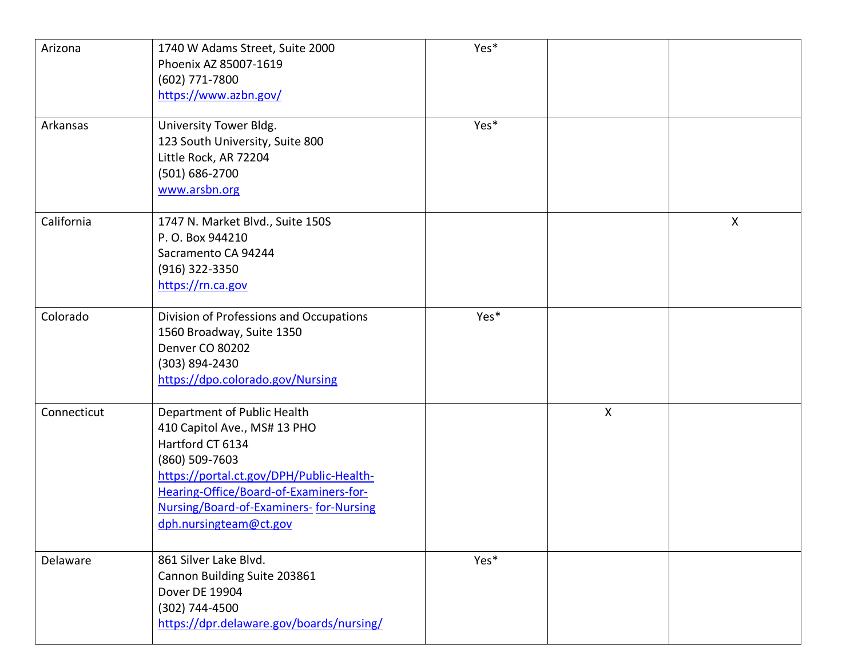| Arizona     | 1740 W Adams Street, Suite 2000<br>Phoenix AZ 85007-1619<br>(602) 771-7800<br>https://www.azbn.gov/                                                                                                                                                         | Yes* |              |   |
|-------------|-------------------------------------------------------------------------------------------------------------------------------------------------------------------------------------------------------------------------------------------------------------|------|--------------|---|
| Arkansas    | University Tower Bldg.<br>123 South University, Suite 800<br>Little Rock, AR 72204<br>(501) 686-2700<br>www.arsbn.org                                                                                                                                       | Yes* |              |   |
| California  | 1747 N. Market Blvd., Suite 150S<br>P.O. Box 944210<br>Sacramento CA 94244<br>(916) 322-3350<br>https://rn.ca.gov                                                                                                                                           |      |              | X |
| Colorado    | Division of Professions and Occupations<br>1560 Broadway, Suite 1350<br>Denver CO 80202<br>(303) 894-2430<br>https://dpo.colorado.gov/Nursing                                                                                                               | Yes* |              |   |
| Connecticut | Department of Public Health<br>410 Capitol Ave., MS# 13 PHO<br>Hartford CT 6134<br>(860) 509-7603<br>https://portal.ct.gov/DPH/Public-Health-<br>Hearing-Office/Board-of-Examiners-for-<br>Nursing/Board-of-Examiners-for-Nursing<br>dph.nursingteam@ct.gov |      | $\mathsf{X}$ |   |
| Delaware    | 861 Silver Lake Blvd.<br>Cannon Building Suite 203861<br>Dover DE 19904<br>(302) 744-4500<br>https://dpr.delaware.gov/boards/nursing/                                                                                                                       | Yes* |              |   |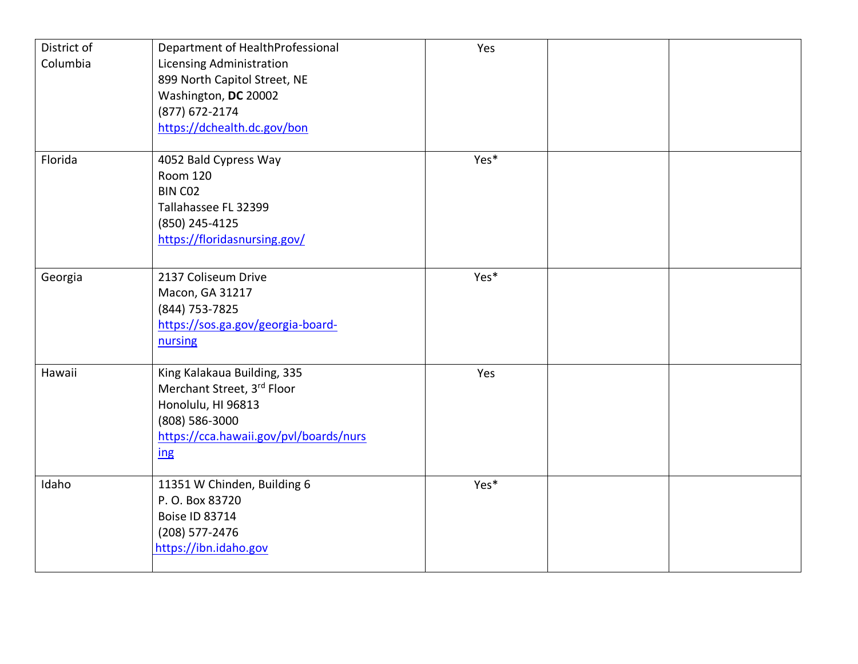| District of | Department of HealthProfessional       | Yes  |  |
|-------------|----------------------------------------|------|--|
| Columbia    | <b>Licensing Administration</b>        |      |  |
|             | 899 North Capitol Street, NE           |      |  |
|             | Washington, DC 20002                   |      |  |
|             | (877) 672-2174                         |      |  |
|             | https://dchealth.dc.gov/bon            |      |  |
|             |                                        |      |  |
| Florida     | 4052 Bald Cypress Way                  | Yes* |  |
|             | <b>Room 120</b>                        |      |  |
|             | BIN CO <sub>2</sub>                    |      |  |
|             | Tallahassee FL 32399                   |      |  |
|             | (850) 245-4125                         |      |  |
|             | https://floridasnursing.gov/           |      |  |
|             |                                        |      |  |
| Georgia     | 2137 Coliseum Drive                    | Yes* |  |
|             | Macon, GA 31217                        |      |  |
|             | (844) 753-7825                         |      |  |
|             | https://sos.ga.gov/georgia-board-      |      |  |
|             | nursing                                |      |  |
|             |                                        |      |  |
| Hawaii      | King Kalakaua Building, 335            | Yes  |  |
|             | Merchant Street, 3rd Floor             |      |  |
|             | Honolulu, HI 96813                     |      |  |
|             | (808) 586-3000                         |      |  |
|             | https://cca.hawaii.gov/pvl/boards/nurs |      |  |
|             | ing                                    |      |  |
|             |                                        |      |  |
| Idaho       | 11351 W Chinden, Building 6            | Yes* |  |
|             | P. O. Box 83720                        |      |  |
|             | <b>Boise ID 83714</b>                  |      |  |
|             | (208) 577-2476                         |      |  |
|             | https://ibn.idaho.gov                  |      |  |
|             |                                        |      |  |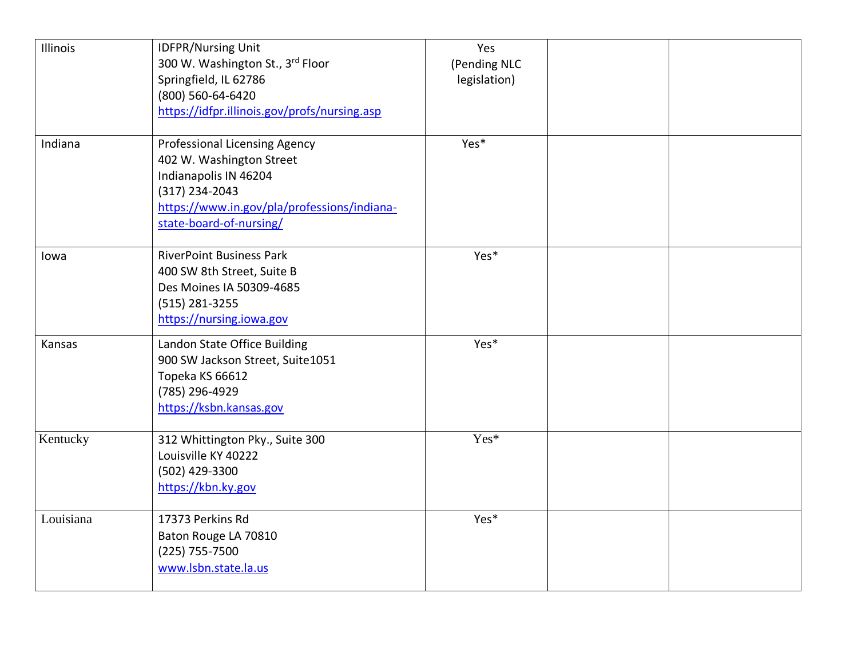| Illinois  | <b>IDFPR/Nursing Unit</b><br>300 W. Washington St., 3rd Floor<br>Springfield, IL 62786<br>(800) 560-64-6420<br>https://idfpr.illinois.gov/profs/nursing.asp                           | Yes<br>(Pending NLC<br>legislation) |  |
|-----------|---------------------------------------------------------------------------------------------------------------------------------------------------------------------------------------|-------------------------------------|--|
| Indiana   | <b>Professional Licensing Agency</b><br>402 W. Washington Street<br>Indianapolis IN 46204<br>(317) 234-2043<br>https://www.in.gov/pla/professions/indiana-<br>state-board-of-nursing/ | Yes*                                |  |
| lowa      | <b>RiverPoint Business Park</b><br>400 SW 8th Street, Suite B<br>Des Moines IA 50309-4685<br>(515) 281-3255<br>https://nursing.iowa.gov                                               | Yes*                                |  |
| Kansas    | Landon State Office Building<br>900 SW Jackson Street, Suite1051<br>Topeka KS 66612<br>(785) 296-4929<br>https://ksbn.kansas.gov                                                      | Yes*                                |  |
| Kentucky  | 312 Whittington Pky., Suite 300<br>Louisville KY 40222<br>(502) 429-3300<br>https://kbn.ky.gov                                                                                        | Yes*                                |  |
| Louisiana | 17373 Perkins Rd<br>Baton Rouge LA 70810<br>(225) 755-7500<br>www.lsbn.state.la.us                                                                                                    | Yes*                                |  |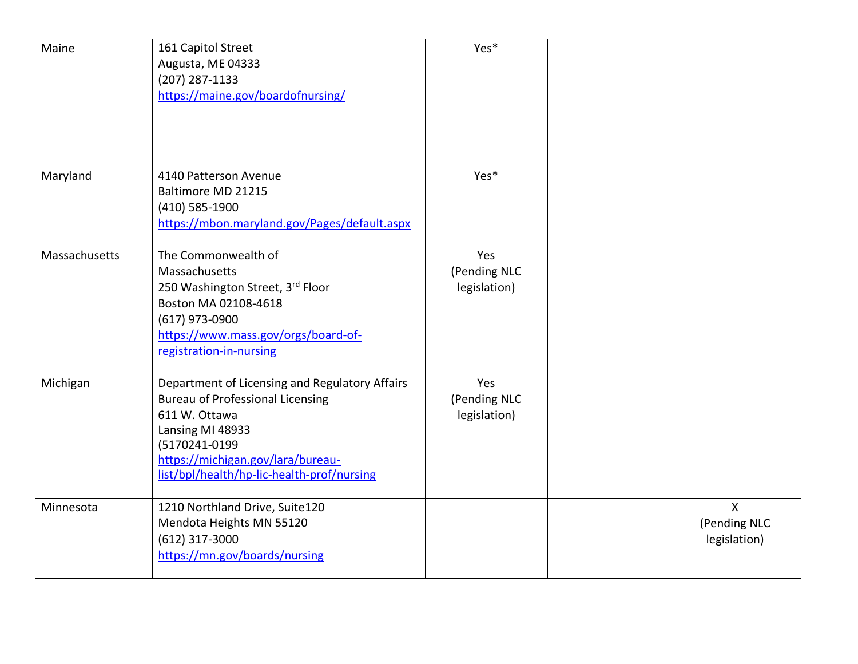| Maine         | 161 Capitol Street<br>Augusta, ME 04333<br>(207) 287-1133<br>https://maine.gov/boardofnursing/                                                                                                                                     | Yes*                                |                                              |
|---------------|------------------------------------------------------------------------------------------------------------------------------------------------------------------------------------------------------------------------------------|-------------------------------------|----------------------------------------------|
| Maryland      | 4140 Patterson Avenue<br>Baltimore MD 21215<br>(410) 585-1900<br>https://mbon.maryland.gov/Pages/default.aspx                                                                                                                      | Yes*                                |                                              |
| Massachusetts | The Commonwealth of<br>Massachusetts<br>250 Washington Street, 3rd Floor<br>Boston MA 02108-4618<br>(617) 973-0900<br>https://www.mass.gov/orgs/board-of-<br>registration-in-nursing                                               | Yes<br>(Pending NLC<br>legislation) |                                              |
| Michigan      | Department of Licensing and Regulatory Affairs<br><b>Bureau of Professional Licensing</b><br>611 W. Ottawa<br>Lansing MI 48933<br>(5170241-0199<br>https://michigan.gov/lara/bureau-<br>list/bpl/health/hp-lic-health-prof/nursing | Yes<br>(Pending NLC<br>legislation) |                                              |
| Minnesota     | 1210 Northland Drive, Suite120<br>Mendota Heights MN 55120<br>(612) 317-3000<br>https://mn.gov/boards/nursing                                                                                                                      |                                     | $\mathsf{X}$<br>(Pending NLC<br>legislation) |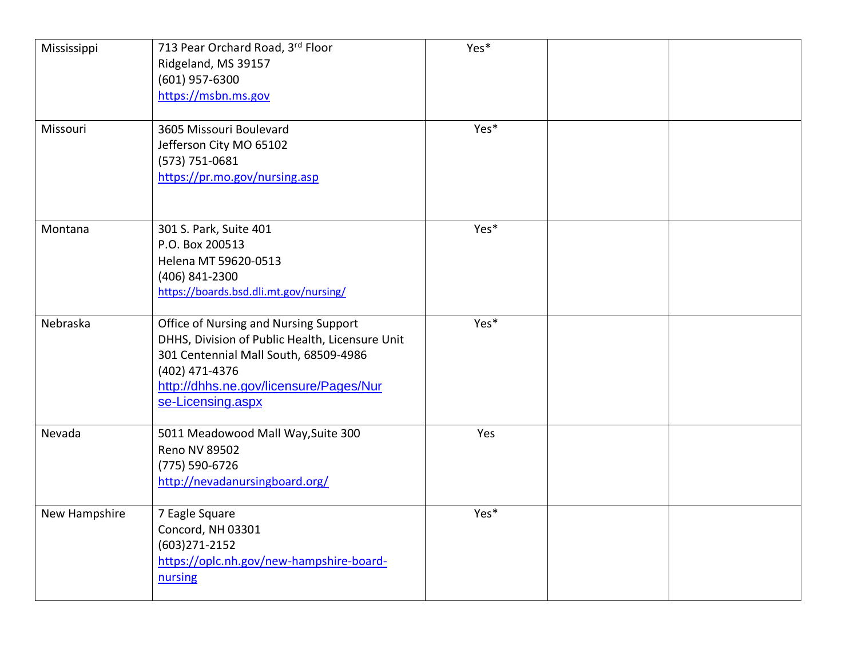| Mississippi   | 713 Pear Orchard Road, 3rd Floor<br>Ridgeland, MS 39157<br>(601) 957-6300<br>https://msbn.ms.gov                                                                                                                   | Yes* |  |
|---------------|--------------------------------------------------------------------------------------------------------------------------------------------------------------------------------------------------------------------|------|--|
| Missouri      | 3605 Missouri Boulevard<br>Jefferson City MO 65102<br>(573) 751-0681<br>https://pr.mo.gov/nursing.asp                                                                                                              | Yes* |  |
| Montana       | 301 S. Park, Suite 401<br>P.O. Box 200513<br>Helena MT 59620-0513<br>(406) 841-2300<br>https://boards.bsd.dli.mt.gov/nursing/                                                                                      | Yes* |  |
| Nebraska      | Office of Nursing and Nursing Support<br>DHHS, Division of Public Health, Licensure Unit<br>301 Centennial Mall South, 68509-4986<br>(402) 471-4376<br>http://dhhs.ne.gov/licensure/Pages/Nur<br>se-Licensing.aspx | Yes* |  |
| Nevada        | 5011 Meadowood Mall Way, Suite 300<br>Reno NV 89502<br>(775) 590-6726<br>http://nevadanursingboard.org/                                                                                                            | Yes  |  |
| New Hampshire | 7 Eagle Square<br>Concord, NH 03301<br>$(603)271 - 2152$<br>https://oplc.nh.gov/new-hampshire-board-<br>nursing                                                                                                    | Yes* |  |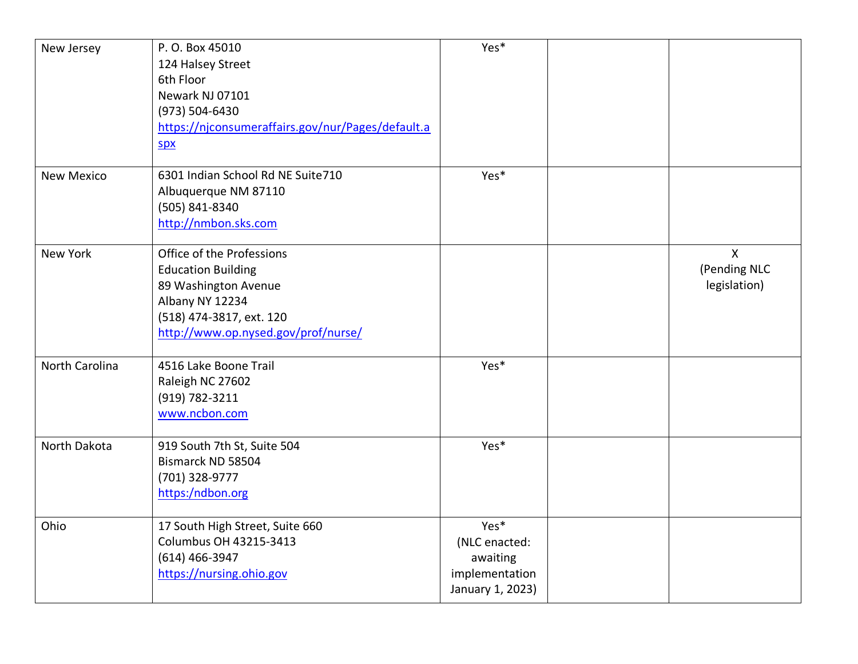| New Jersey        | P.O. Box 45010<br>124 Halsey Street<br>6th Floor<br>Newark NJ 07101<br>(973) 504-6430<br>https://njconsumeraffairs.gov/nur/Pages/default.a<br>spx                    | Yes*                                                                    |                                              |
|-------------------|----------------------------------------------------------------------------------------------------------------------------------------------------------------------|-------------------------------------------------------------------------|----------------------------------------------|
| <b>New Mexico</b> | 6301 Indian School Rd NE Suite710<br>Albuquerque NM 87110<br>(505) 841-8340<br>http://nmbon.sks.com                                                                  | Yes*                                                                    |                                              |
| New York          | Office of the Professions<br><b>Education Building</b><br>89 Washington Avenue<br>Albany NY 12234<br>(518) 474-3817, ext. 120<br>http://www.op.nysed.gov/prof/nurse/ |                                                                         | $\mathsf{X}$<br>(Pending NLC<br>legislation) |
| North Carolina    | 4516 Lake Boone Trail<br>Raleigh NC 27602<br>(919) 782-3211<br>www.ncbon.com                                                                                         | Yes*                                                                    |                                              |
| North Dakota      | 919 South 7th St, Suite 504<br>Bismarck ND 58504<br>(701) 328-9777<br>https:/ndbon.org                                                                               | Yes*                                                                    |                                              |
| Ohio              | 17 South High Street, Suite 660<br><b>Columbus OH 43215-3413</b><br>(614) 466-3947<br>https://nursing.ohio.gov                                                       | Yes*<br>(NLC enacted:<br>awaiting<br>implementation<br>January 1, 2023) |                                              |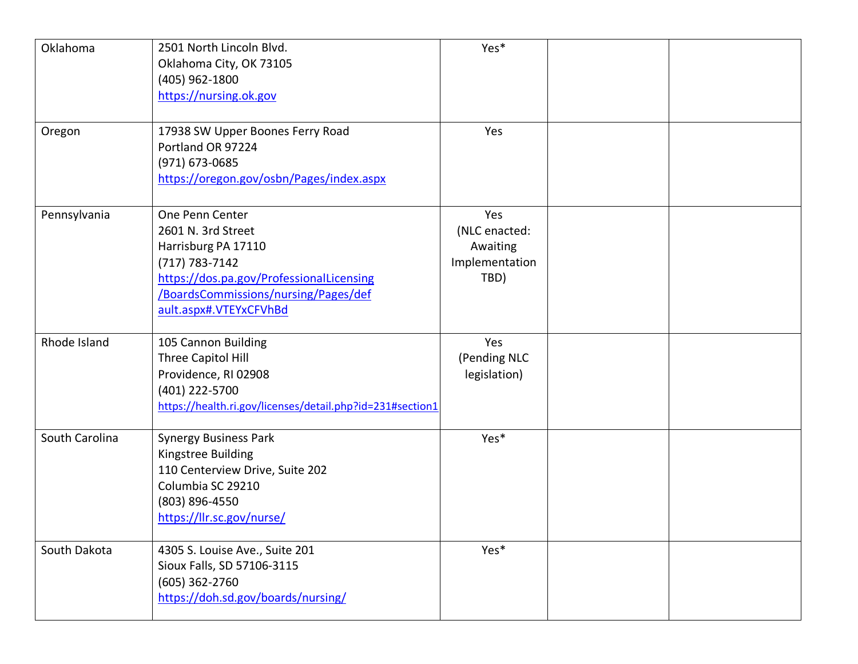| Oklahoma       | 2501 North Lincoln Blvd.<br>Oklahoma City, OK 73105<br>(405) 962-1800<br>https://nursing.ok.gov                                                                                                  | Yes*                                                       |  |
|----------------|--------------------------------------------------------------------------------------------------------------------------------------------------------------------------------------------------|------------------------------------------------------------|--|
| Oregon         | 17938 SW Upper Boones Ferry Road<br>Portland OR 97224<br>(971) 673-0685<br>https://oregon.gov/osbn/Pages/index.aspx                                                                              | Yes                                                        |  |
| Pennsylvania   | One Penn Center<br>2601 N. 3rd Street<br>Harrisburg PA 17110<br>$(717) 783 - 7142$<br>https://dos.pa.gov/ProfessionalLicensing<br>/BoardsCommissions/nursing/Pages/def<br>ault.aspx#.VTEYxCFVhBd | Yes<br>(NLC enacted:<br>Awaiting<br>Implementation<br>TBD) |  |
| Rhode Island   | 105 Cannon Building<br>Three Capitol Hill<br>Providence, RI 02908<br>(401) 222-5700<br>https://health.ri.gov/licenses/detail.php?id=231#section1                                                 | Yes<br>(Pending NLC<br>legislation)                        |  |
| South Carolina | <b>Synergy Business Park</b><br>Kingstree Building<br>110 Centerview Drive, Suite 202<br>Columbia SC 29210<br>(803) 896-4550<br>https://llr.sc.gov/nurse/                                        | Yes*                                                       |  |
| South Dakota   | 4305 S. Louise Ave., Suite 201<br>Sioux Falls, SD 57106-3115<br>(605) 362-2760<br>https://doh.sd.gov/boards/nursing/                                                                             | Yes*                                                       |  |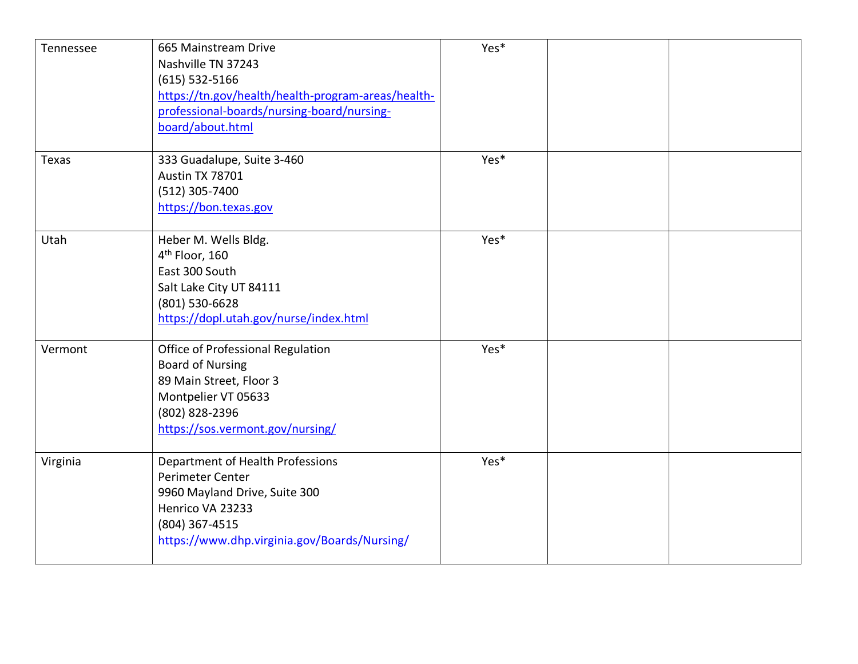| Tennessee | 665 Mainstream Drive<br>Nashville TN 37243<br>$(615)$ 532-5166<br>https://tn.gov/health/health-program-areas/health-<br>professional-boards/nursing-board/nursing-<br>board/about.html | Yes* |  |
|-----------|----------------------------------------------------------------------------------------------------------------------------------------------------------------------------------------|------|--|
| Texas     | 333 Guadalupe, Suite 3-460<br>Austin TX 78701<br>(512) 305-7400<br>https://bon.texas.gov                                                                                               | Yes* |  |
| Utah      | Heber M. Wells Bldg.<br>4 <sup>th</sup> Floor, 160<br>East 300 South<br>Salt Lake City UT 84111<br>(801) 530-6628<br>https://dopl.utah.gov/nurse/index.html                            | Yes* |  |
| Vermont   | Office of Professional Regulation<br><b>Board of Nursing</b><br>89 Main Street, Floor 3<br>Montpelier VT 05633<br>(802) 828-2396<br>https://sos.vermont.gov/nursing/                   | Yes* |  |
| Virginia  | Department of Health Professions<br>Perimeter Center<br>9960 Mayland Drive, Suite 300<br>Henrico VA 23233<br>(804) 367-4515<br>https://www.dhp.virginia.gov/Boards/Nursing/            | Yes* |  |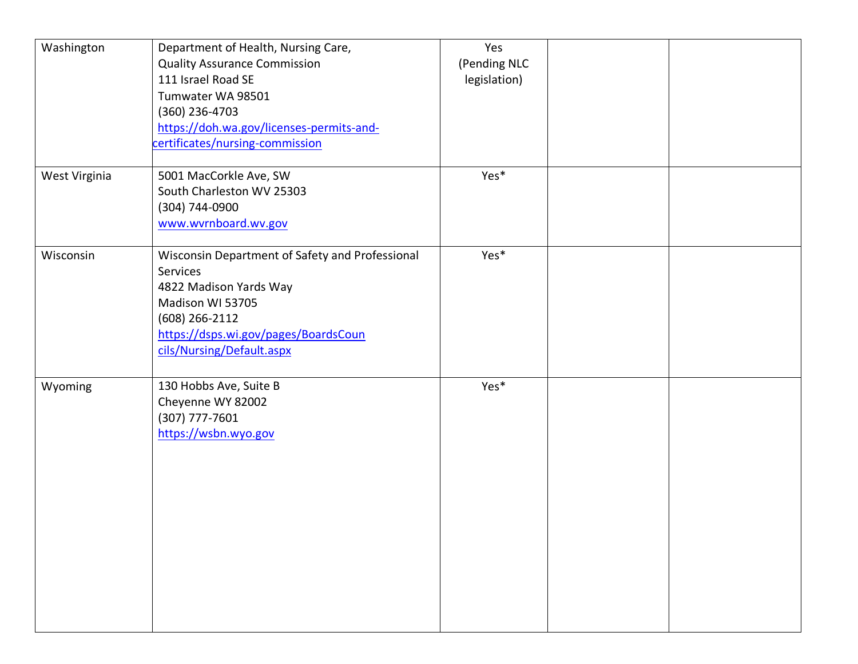| Washington    | Department of Health, Nursing Care,<br><b>Quality Assurance Commission</b><br>111 Israel Road SE<br>Tumwater WA 98501<br>$(360)$ 236-4703<br>https://doh.wa.gov/licenses-permits-and-<br>certificates/nursing-commission | Yes<br>(Pending NLC<br>legislation) |  |
|---------------|--------------------------------------------------------------------------------------------------------------------------------------------------------------------------------------------------------------------------|-------------------------------------|--|
| West Virginia | 5001 MacCorkle Ave, SW<br>South Charleston WV 25303<br>(304) 744-0900<br>www.wvrnboard.wv.gov                                                                                                                            | Yes*                                |  |
| Wisconsin     | Wisconsin Department of Safety and Professional<br>Services<br>4822 Madison Yards Way<br>Madison WI 53705<br>(608) 266-2112<br>https://dsps.wi.gov/pages/BoardsCoun<br>cils/Nursing/Default.aspx                         | Yes*                                |  |
| Wyoming       | 130 Hobbs Ave, Suite B<br>Cheyenne WY 82002<br>(307) 777-7601<br>https://wsbn.wyo.gov                                                                                                                                    | Yes*                                |  |